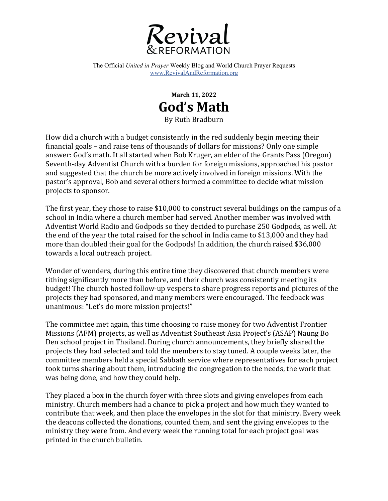

The Official *United in Prayer* Weekly Blog and World Church Prayer Requests www.RevivalAndReformation.org

> **March 11, 2022 God's Math** By Ruth Bradburn

How did a church with a budget consistently in the red suddenly begin meeting their financial goals  $-$  and raise tens of thousands of dollars for missions? Only one simple answer: God's math. It all started when Bob Kruger, an elder of the Grants Pass (Oregon) Seventh-day Adventist Church with a burden for foreign missions, approached his pastor and suggested that the church be more actively involved in foreign missions. With the pastor's approval, Bob and several others formed a committee to decide what mission projects to sponsor.

The first year, they chose to raise \$10,000 to construct several buildings on the campus of a school in India where a church member had served. Another member was involved with Adventist World Radio and Godpods so they decided to purchase 250 Godpods, as well. At the end of the year the total raised for the school in India came to \$13,000 and they had more than doubled their goal for the Godpods! In addition, the church raised \$36,000 towards a local outreach project.

Wonder of wonders, during this entire time they discovered that church members were tithing significantly more than before, and their church was consistently meeting its budget! The church hosted follow-up vespers to share progress reports and pictures of the projects they had sponsored, and many members were encouraged. The feedback was unanimous: "Let's do more mission projects!"

The committee met again, this time choosing to raise money for two Adventist Frontier Missions (AFM) projects, as well as Adventist Southeast Asia Project's (ASAP) Naung Bo Den school project in Thailand. During church announcements, they briefly shared the projects they had selected and told the members to stay tuned. A couple weeks later, the committee members held a special Sabbath service where representatives for each project took turns sharing about them, introducing the congregation to the needs, the work that was being done, and how they could help.

They placed a box in the church foyer with three slots and giving envelopes from each ministry. Church members had a chance to pick a project and how much they wanted to contribute that week, and then place the envelopes in the slot for that ministry. Every week the deacons collected the donations, counted them, and sent the giving envelopes to the ministry they were from. And every week the running total for each project goal was printed in the church bulletin.